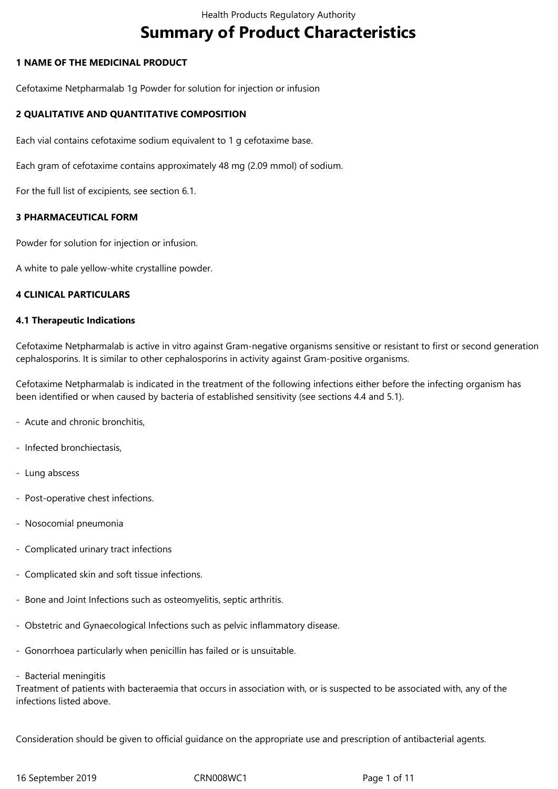# **Summary of Product Characteristics**

## **1 NAME OF THE MEDICINAL PRODUCT**

Cefotaxime Netpharmalab 1g Powder for solution for injection or infusion

## **2 QUALITATIVE AND QUANTITATIVE COMPOSITION**

Each vial contains cefotaxime sodium equivalent to 1 g cefotaxime base.

Each gram of cefotaxime contains approximately 48 mg (2.09 mmol) of sodium.

For the full list of excipients, see section 6.1.

## **3 PHARMACEUTICAL FORM**

Powder for solution for injection or infusion.

A white to pale yellow-white crystalline powder.

#### **4 CLINICAL PARTICULARS**

#### **4.1 Therapeutic Indications**

Cefotaxime Netpharmalab is active in vitro against Gram-negative organisms sensitive or resistant to first or second generation cephalosporins. It is similar to other cephalosporins in activity against Gram-positive organisms.

Cefotaxime Netpharmalab is indicated in the treatment of the following infections either before the infecting organism has been identified or when caused by bacteria of established sensitivity (see sections 4.4 and 5.1).

- Acute and chronic bronchitis,
- Infected bronchiectasis,
- Lung abscess
- Post-operative chest infections.
- Nosocomial pneumonia
- Complicated urinary tract infections
- Complicated skin and soft tissue infections.
- Bone and Joint Infections such as osteomyelitis, septic arthritis.
- Obstetric and Gynaecological Infections such as pelvic inflammatory disease.
- Gonorrhoea particularly when penicillin has failed or is unsuitable.
- Bacterial meningitis

Treatment of patients with bacteraemia that occurs in association with, or is suspected to be associated with, any of the infections listed above.

Consideration should be given to official guidance on the appropriate use and prescription of antibacterial agents.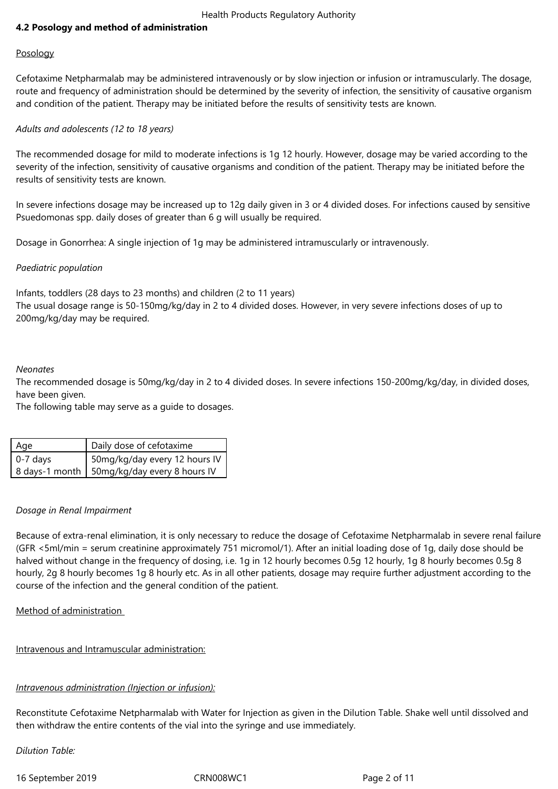# **4.2 Posology and method of administration**

## Posology

Cefotaxime Netpharmalab may be administered intravenously or by slow injection or infusion or intramuscularly. The dosage, route and frequency of administration should be determined by the severity of infection, the sensitivity of causative organism and condition of the patient. Therapy may be initiated before the results of sensitivity tests are known.

# *Adults and adolescents (12 to 18 years)*

The recommended dosage for mild to moderate infections is 1g 12 hourly. However, dosage may be varied according to the severity of the infection, sensitivity of causative organisms and condition of the patient. Therapy may be initiated before the results of sensitivity tests are known.

In severe infections dosage may be increased up to 12g daily given in 3 or 4 divided doses. For infections caused by sensitive Psuedomonas spp. daily doses of greater than 6 g will usually be required.

Dosage in Gonorrhea: A single injection of 1g may be administered intramuscularly or intravenously.

## *Paediatric population*

Infants, toddlers (28 days to 23 months) and children (2 to 11 years) The usual dosage range is 50-150mg/kg/day in 2 to 4 divided doses. However, in very severe infections doses of up to 200mg/kg/day may be required.

#### *Neonates*

The recommended dosage is 50mg/kg/day in 2 to 4 divided doses. In severe infections 150-200mg/kg/day, in divided doses, have been given.

The following table may serve as a guide to dosages.

| Age        | Daily dose of cefotaxime                      |
|------------|-----------------------------------------------|
| $0-7$ days | 50mg/kg/day every 12 hours IV                 |
|            | 8 days-1 month   50mg/kg/day every 8 hours IV |

#### *Dosage in Renal Impairment*

Because of extra-renal elimination, it is only necessary to reduce the dosage of Cefotaxime Netpharmalab in severe renal failure (GFR <5ml/min = serum creatinine approximately 751 micromol/1). After an initial loading dose of 1g, daily dose should be halved without change in the frequency of dosing, i.e. 1g in 12 hourly becomes 0.5g 12 hourly, 1g 8 hourly becomes 0.5g 8 hourly, 2g 8 hourly becomes 1g 8 hourly etc. As in all other patients, dosage may require further adjustment according to the course of the infection and the general condition of the patient.

# Method of administration

Intravenous and Intramuscular administration:

# *Intravenous administration (Injection or infusion):*

Reconstitute Cefotaxime Netpharmalab with Water for Injection as given in the Dilution Table. Shake well until dissolved and then withdraw the entire contents of the vial into the syringe and use immediately.

*Dilution Table:*

16 September 2019 CRN008WC1 Page 2 of 11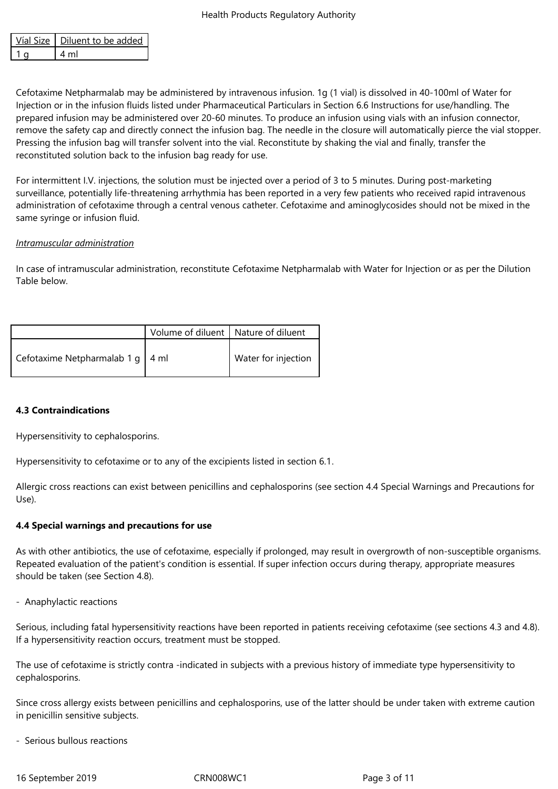| Víal Size   Diluent to be added |
|---------------------------------|
|                                 |

Cefotaxime Netpharmalab may be administered by intravenous infusion. 1g (1 vial) is dissolved in 40-100ml of Water for Injection or in the infusion fluids listed under Pharmaceutical Particulars in Section 6.6 Instructions for use/handling. The prepared infusion may be administered over 20-60 minutes. To produce an infusion using vials with an infusion connector, remove the safety cap and directly connect the infusion bag. The needle in the closure will automatically pierce the vial stopper. Pressing the infusion bag will transfer solvent into the vial. Reconstitute by shaking the vial and finally, transfer the reconstituted solution back to the infusion bag ready for use.

For intermittent I.V. injections, the solution must be injected over a period of 3 to 5 minutes. During post-marketing surveillance, potentially life-threatening arrhythmia has been reported in a very few patients who received rapid intravenous administration of cefotaxime through a central venous catheter. Cefotaxime and aminoglycosides should not be mixed in the same syringe or infusion fluid.

## *Intramuscular administration*

In case of intramuscular administration, reconstitute Cefotaxime Netpharmalab with Water for Injection or as per the Dilution Table below.

|                                    | Volume of diluent   Nature of diluent |                     |
|------------------------------------|---------------------------------------|---------------------|
| Cefotaxime Netpharmalab 1 g   4 ml |                                       | Water for injection |

# **4.3 Contraindications**

Hypersensitivity to cephalosporins.

Hypersensitivity to cefotaxime or to any of the excipients listed in section 6.1.

Allergic cross reactions can exist between penicillins and cephalosporins (see section 4.4 Special Warnings and Precautions for Use).

# **4.4 Special warnings and precautions for use**

As with other antibiotics, the use of cefotaxime, especially if prolonged, may result in overgrowth of non-susceptible organisms. Repeated evaluation of the patient's condition is essential. If super infection occurs during therapy, appropriate measures should be taken (see Section 4.8).

- Anaphylactic reactions

Serious, including fatal hypersensitivity reactions have been reported in patients receiving cefotaxime (see sections 4.3 and 4.8). If a hypersensitivity reaction occurs, treatment must be stopped.

The use of cefotaxime is strictly contra -indicated in subjects with a previous history of immediate type hypersensitivity to cephalosporins.

Since cross allergy exists between penicillins and cephalosporins, use of the latter should be under taken with extreme caution in penicillin sensitive subjects.

- Serious bullous reactions

16 September 2019 CRN008WC1 Page 3 of 11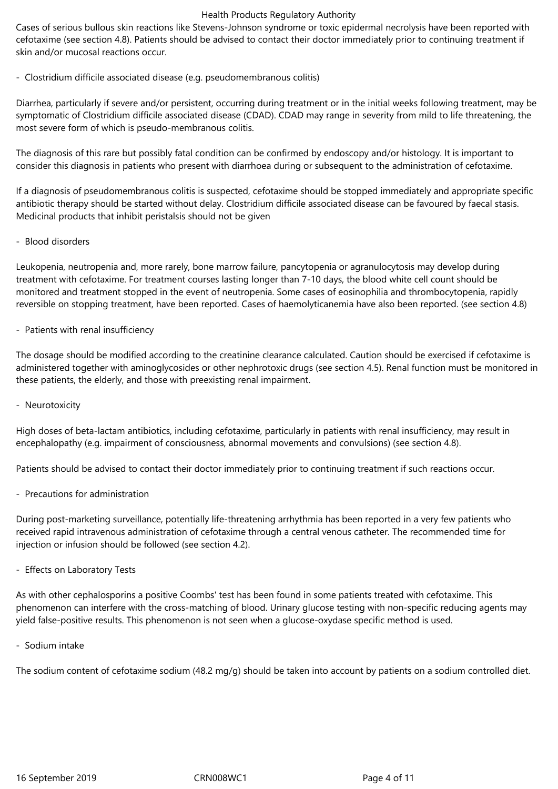Cases of serious bullous skin reactions like Stevens-Johnson syndrome or toxic epidermal necrolysis have been reported with cefotaxime (see section 4.8). Patients should be advised to contact their doctor immediately prior to continuing treatment if skin and/or mucosal reactions occur.

## - Clostridium difficile associated disease (e.g. pseudomembranous colitis)

Diarrhea, particularly if severe and/or persistent, occurring during treatment or in the initial weeks following treatment, may be symptomatic of Clostridium difficile associated disease (CDAD). CDAD may range in severity from mild to life threatening, the most severe form of which is pseudo-membranous colitis.

The diagnosis of this rare but possibly fatal condition can be confirmed by endoscopy and/or histology. It is important to consider this diagnosis in patients who present with diarrhoea during or subsequent to the administration of cefotaxime.

If a diagnosis of pseudomembranous colitis is suspected, cefotaxime should be stopped immediately and appropriate specific antibiotic therapy should be started without delay. Clostridium difficile associated disease can be favoured by faecal stasis. Medicinal products that inhibit peristalsis should not be given

#### - Blood disorders

Leukopenia, neutropenia and, more rarely, bone marrow failure, pancytopenia or agranulocytosis may develop during treatment with cefotaxime. For treatment courses lasting longer than 7-10 days, the blood white cell count should be monitored and treatment stopped in the event of neutropenia. Some cases of eosinophilia and thrombocytopenia, rapidly reversible on stopping treatment, have been reported. Cases of haemolyticanemia have also been reported. (see section 4.8)

## - Patients with renal insufficiency

The dosage should be modified according to the creatinine clearance calculated. Caution should be exercised if cefotaxime is administered together with aminoglycosides or other nephrotoxic drugs (see section 4.5). Renal function must be monitored in these patients, the elderly, and those with preexisting renal impairment.

#### - Neurotoxicity

High doses of beta-lactam antibiotics, including cefotaxime, particularly in patients with renal insufficiency, may result in encephalopathy (e.g. impairment of consciousness, abnormal movements and convulsions) (see section 4.8).

Patients should be advised to contact their doctor immediately prior to continuing treatment if such reactions occur.

- Precautions for administration

During post-marketing surveillance, potentially life-threatening arrhythmia has been reported in a very few patients who received rapid intravenous administration of cefotaxime through a central venous catheter. The recommended time for injection or infusion should be followed (see section 4.2).

- Effects on Laboratory Tests

As with other cephalosporins a positive Coombs' test has been found in some patients treated with cefotaxime. This phenomenon can interfere with the cross-matching of blood. Urinary glucose testing with non-specific reducing agents may yield false-positive results. This phenomenon is not seen when a glucose-oxydase specific method is used.

- Sodium intake

The sodium content of cefotaxime sodium (48.2 mg/g) should be taken into account by patients on a sodium controlled diet.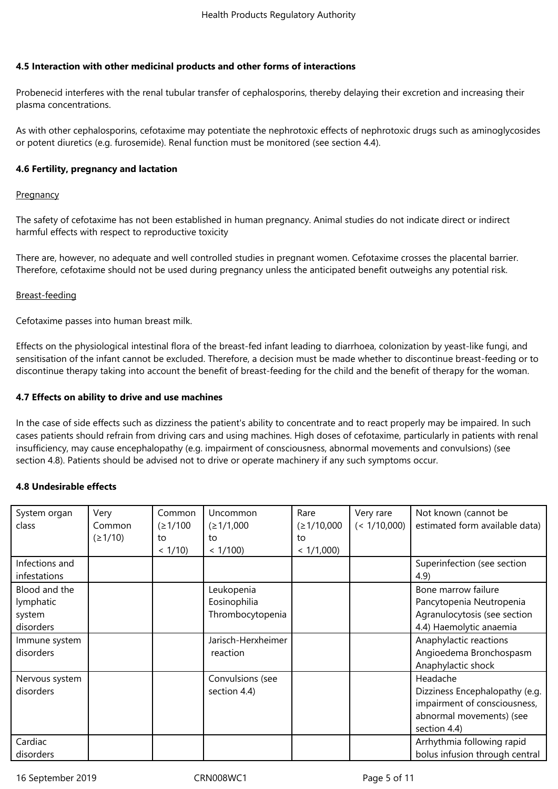# **4.5 Interaction with other medicinal products and other forms of interactions**

Probenecid interferes with the renal tubular transfer of cephalosporins, thereby delaying their excretion and increasing their plasma concentrations.

As with other cephalosporins, cefotaxime may potentiate the nephrotoxic effects of nephrotoxic drugs such as aminoglycosides or potent diuretics (e.g. furosemide). Renal function must be monitored (see section 4.4).

#### **4.6 Fertility, pregnancy and lactation**

#### **Pregnancy**

The safety of cefotaxime has not been established in human pregnancy. Animal studies do not indicate direct or indirect harmful effects with respect to reproductive toxicity

There are, however, no adequate and well controlled studies in pregnant women. Cefotaxime crosses the placental barrier. Therefore, cefotaxime should not be used during pregnancy unless the anticipated benefit outweighs any potential risk.

#### Breast-feeding

Cefotaxime passes into human breast milk.

Effects on the physiological intestinal flora of the breast-fed infant leading to diarrhoea, colonization by yeast-like fungi, and sensitisation of the infant cannot be excluded. Therefore, a decision must be made whether to discontinue breast-feeding or to discontinue therapy taking into account the benefit of breast-feeding for the child and the benefit of therapy for the woman.

#### **4.7 Effects on ability to drive and use machines**

In the case of side effects such as dizziness the patient's ability to concentrate and to react properly may be impaired. In such cases patients should refrain from driving cars and using machines. High doses of cefotaxime, particularly in patients with renal insufficiency, may cause encephalopathy (e.g. impairment of consciousness, abnormal movements and convulsions) (see section 4.8). Patients should be advised not to drive or operate machinery if any such symptoms occur.

#### **4.8 Undesirable effects**

| System organ   | Very    | Common     | Uncommon           | Rare       | Very rare    | Not known (cannot be           |
|----------------|---------|------------|--------------------|------------|--------------|--------------------------------|
| class          | Common  | (21/100)   | (≥1/1,000          | (≥1/10,000 | (< 1/10,000) | estimated form available data) |
|                | (21/10) | to         | to                 | to         |              |                                |
|                |         | $< 1/10$ ) | < 1/100            | < 1/1,000  |              |                                |
| Infections and |         |            |                    |            |              | Superinfection (see section    |
| infestations   |         |            |                    |            |              | 4.9)                           |
| Blood and the  |         |            | Leukopenia         |            |              | Bone marrow failure            |
| lymphatic      |         |            | Eosinophilia       |            |              | Pancytopenia Neutropenia       |
| system         |         |            | Thrombocytopenia   |            |              | Agranulocytosis (see section   |
| disorders      |         |            |                    |            |              | 4.4) Haemolytic anaemia        |
| Immune system  |         |            | Jarisch-Herxheimer |            |              | Anaphylactic reactions         |
| disorders      |         |            | reaction           |            |              | Angioedema Bronchospasm        |
|                |         |            |                    |            |              | Anaphylactic shock             |
| Nervous system |         |            | Convulsions (see   |            |              | Headache                       |
| disorders      |         |            | section 4.4)       |            |              | Dizziness Encephalopathy (e.g. |
|                |         |            |                    |            |              | impairment of consciousness,   |
|                |         |            |                    |            |              | abnormal movements) (see       |
|                |         |            |                    |            |              | section 4.4)                   |
| Cardiac        |         |            |                    |            |              | Arrhythmia following rapid     |
| disorders      |         |            |                    |            |              | bolus infusion through central |

16 September 2019 CRN008WC1 Page 5 of 11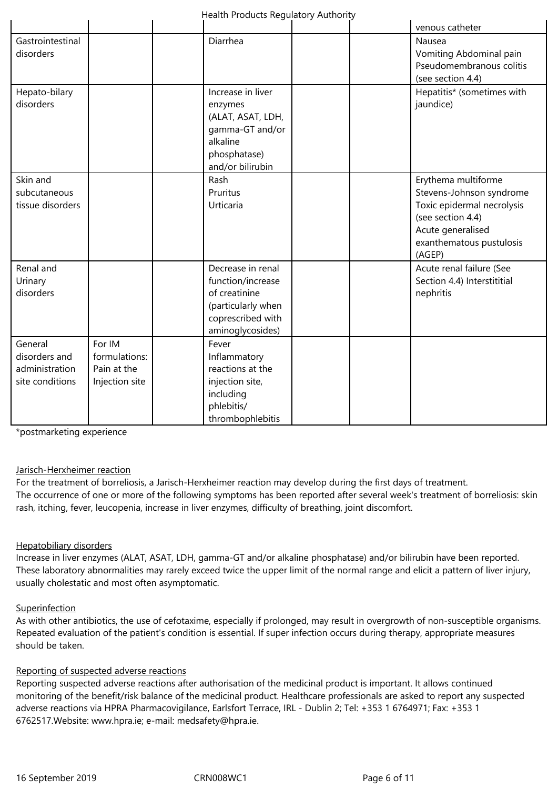|                                                               |                                                          |                                                                                                                        | venous catheter                                                                                                                                               |
|---------------------------------------------------------------|----------------------------------------------------------|------------------------------------------------------------------------------------------------------------------------|---------------------------------------------------------------------------------------------------------------------------------------------------------------|
| Gastrointestinal<br>disorders                                 |                                                          | Diarrhea                                                                                                               | Nausea<br>Vomiting Abdominal pain<br>Pseudomembranous colitis<br>(see section 4.4)                                                                            |
| Hepato-bilary<br>disorders                                    |                                                          | Increase in liver<br>enzymes<br>(ALAT, ASAT, LDH,<br>gamma-GT and/or<br>alkaline<br>phosphatase)<br>and/or bilirubin   | Hepatitis* (sometimes with<br>jaundice)                                                                                                                       |
| Skin and<br>subcutaneous<br>tissue disorders                  |                                                          | Rash<br>Pruritus<br>Urticaria                                                                                          | Erythema multiforme<br>Stevens-Johnson syndrome<br>Toxic epidermal necrolysis<br>(see section 4.4)<br>Acute generalised<br>exanthematous pustulosis<br>(AGEP) |
| Renal and<br>Urinary<br>disorders                             |                                                          | Decrease in renal<br>function/increase<br>of creatinine<br>(particularly when<br>coprescribed with<br>aminoglycosides) | Acute renal failure (See<br>Section 4.4) Interstititial<br>nephritis                                                                                          |
| General<br>disorders and<br>administration<br>site conditions | For IM<br>formulations:<br>Pain at the<br>Injection site | Fever<br>Inflammatory<br>reactions at the<br>injection site,<br>including<br>phlebitis/<br>thrombophlebitis            |                                                                                                                                                               |

\*postmarketing experience

#### Jarisch-Herxheimer reaction

For the treatment of borreliosis, a Jarisch-Herxheimer reaction may develop during the first days of treatment. The occurrence of one or more of the following symptoms has been reported after several week's treatment of borreliosis: skin rash, itching, fever, leucopenia, increase in liver enzymes, difficulty of breathing, joint discomfort.

#### Hepatobiliary disorders

Increase in liver enzymes (ALAT, ASAT, LDH, gamma-GT and/or alkaline phosphatase) and/or bilirubin have been reported. These laboratory abnormalities may rarely exceed twice the upper limit of the normal range and elicit a pattern of liver injury, usually cholestatic and most often asymptomatic.

#### **Superinfection**

As with other antibiotics, the use of cefotaxime, especially if prolonged, may result in overgrowth of non-susceptible organisms. Repeated evaluation of the patient's condition is essential. If super infection occurs during therapy, appropriate measures should be taken.

#### Reporting of suspected adverse reactions

Reporting suspected adverse reactions after authorisation of the medicinal product is important. It allows continued monitoring of the benefit/risk balance of the medicinal product. Healthcare professionals are asked to report any suspected adverse reactions via HPRA Pharmacovigilance, Earlsfort Terrace, IRL - Dublin 2; Tel: +353 1 6764971; Fax: +353 1 6762517.Website: www.hpra.ie; e-mail: medsafety@hpra.ie.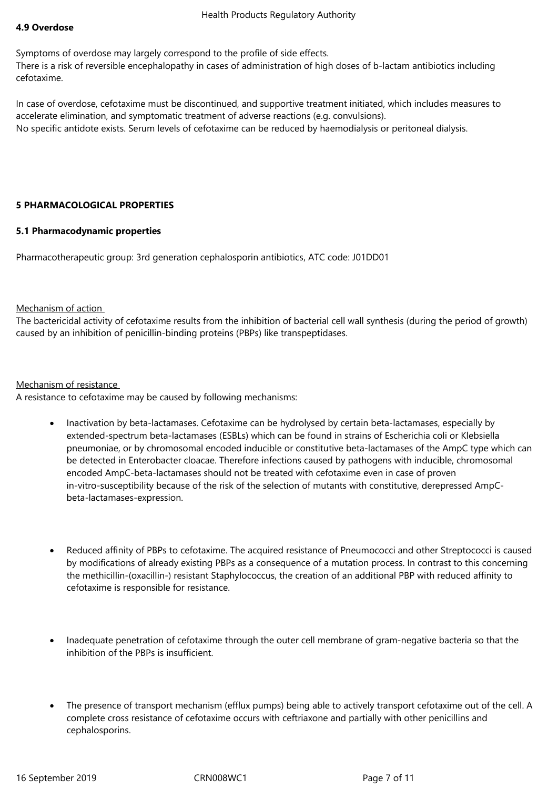### **4.9 Overdose**

Symptoms of overdose may largely correspond to the profile of side effects. There is a risk of reversible encephalopathy in cases of administration of high doses of b-lactam antibiotics including cefotaxime.

In case of overdose, cefotaxime must be discontinued, and supportive treatment initiated, which includes measures to accelerate elimination, and symptomatic treatment of adverse reactions (e.g. convulsions). No specific antidote exists. Serum levels of cefotaxime can be reduced by haemodialysis or peritoneal dialysis.

## **5 PHARMACOLOGICAL PROPERTIES**

## **5.1 Pharmacodynamic properties**

Pharmacotherapeutic group: 3rd generation cephalosporin antibiotics, ATC code: J01DD01

#### Mechanism of action

The bactericidal activity of cefotaxime results from the inhibition of bacterial cell wall synthesis (during the period of growth) caused by an inhibition of penicillin-binding proteins (PBPs) like transpeptidases.

## Mechanism of resistance

A resistance to cefotaxime may be caused by following mechanisms:

- Inactivation by beta-lactamases. Cefotaxime can be hydrolysed by certain beta-lactamases, especially by extended-spectrum beta-lactamases (ESBLs) which can be found in strains of Escherichia coli or Klebsiella pneumoniae, or by chromosomal encoded inducible or constitutive beta-lactamases of the AmpC type which can be detected in Enterobacter cloacae. Therefore infections caused by pathogens with inducible, chromosomal encoded AmpC-beta-lactamases should not be treated with cefotaxime even in case of proven in-vitro-susceptibility because of the risk of the selection of mutants with constitutive, derepressed AmpCbeta-lactamases-expression.
- Reduced affinity of PBPs to cefotaxime. The acquired resistance of Pneumococci and other Streptococci is caused by modifications of already existing PBPs as a consequence of a mutation process. In contrast to this concerning the methicillin-(oxacillin-) resistant Staphylococcus, the creation of an additional PBP with reduced affinity to cefotaxime is responsible for resistance.
- Inadequate penetration of cefotaxime through the outer cell membrane of gram-negative bacteria so that the inhibition of the PBPs is insufficient.
- The presence of transport mechanism (efflux pumps) being able to actively transport cefotaxime out of the cell. A complete cross resistance of cefotaxime occurs with ceftriaxone and partially with other penicillins and cephalosporins.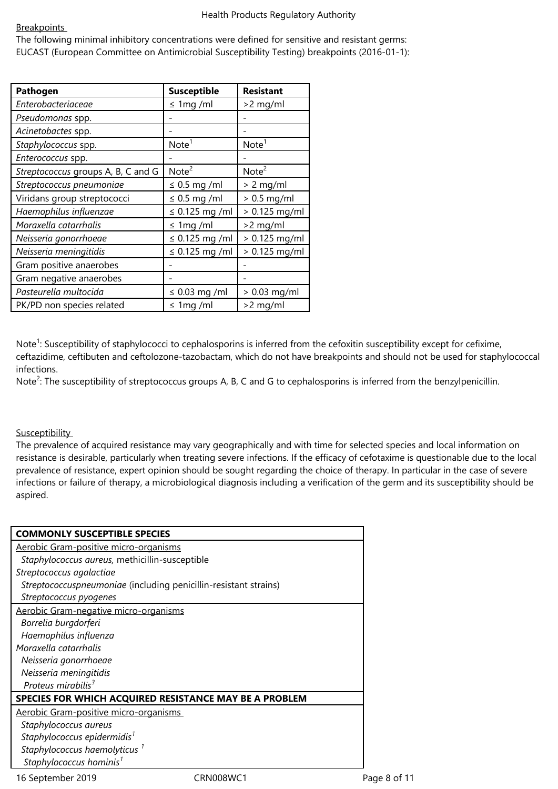## **Breakpoints**

The following minimal inhibitory concentrations were defined for sensitive and resistant germs: EUCAST (European Committee on Antimicrobial Susceptibility Testing) breakpoints (2016-01-1):

| Pathogen                           | <b>Susceptible</b>  | <b>Resistant</b>  |
|------------------------------------|---------------------|-------------------|
| Enterobacteriaceae                 | $\leq 1$ mg/ml      | $>2$ mg/ml        |
| Pseudomonas spp.                   |                     |                   |
| Acinetobactes spp.                 |                     |                   |
| Staphylococcus spp.                | Note <sup>1</sup>   | Note <sup>1</sup> |
| Enterococcus spp.                  |                     |                   |
| Streptococcus groups A, B, C and G | Note <sup>2</sup>   | Note <sup>2</sup> |
| Streptococcus pneumoniae           | $\leq$ 0.5 mg /ml   | $> 2$ mg/ml       |
| Viridans group streptococci        | $\leq 0.5$ mg /ml   | $> 0.5$ mg/ml     |
| Haemophilus influenzae             | $\leq$ 0.125 mg/ml  | $> 0.125$ mg/ml   |
| Moraxella catarrhalis              | $\leq 1$ mg/ml      | $>2$ mg/ml        |
| Neisseria gonorrhoeae              | $\leq$ 0.125 mg /ml | $> 0.125$ mg/ml   |
| Neisseria meningitidis             | $\leq$ 0.125 mg /ml | $> 0.125$ mg/ml   |
| Gram positive anaerobes            |                     |                   |
| Gram negative anaerobes            |                     |                   |
| Pasteurella multocida              | $\leq$ 0.03 mg /ml  | $> 0.03$ mg/ml    |
| PK/PD non species related          | $\leq 1$ mg /ml     | $>2$ mg/ml        |

Note<sup>1</sup>: Susceptibility of staphylococci to cephalosporins is inferred from the cefoxitin susceptibility except for cefixime, ceftazidime, ceftibuten and ceftolozone-tazobactam, which do not have breakpoints and should not be used for staphylococcal infections.

Note<sup>2</sup>: The susceptibility of streptococcus groups A, B, C and G to cephalosporins is inferred from the benzylpenicillin.

# **Susceptibility**

The prevalence of acquired resistance may vary geographically and with time for selected species and local information on resistance is desirable, particularly when treating severe infections. If the efficacy of cefotaxime is questionable due to the local prevalence of resistance, expert opinion should be sought regarding the choice of therapy. In particular in the case of severe infections or failure of therapy, a microbiological diagnosis including a verification of the germ and its susceptibility should be aspired.

| <b>COMMONLY SUSCEPTIBLE SPECIES</b>                              |           |              |
|------------------------------------------------------------------|-----------|--------------|
| Aerobic Gram-positive micro-organisms                            |           |              |
| Staphylococcus aureus, methicillin-susceptible                   |           |              |
| Streptococcus agalactiae                                         |           |              |
| Streptococcuspneumoniae (including penicillin-resistant strains) |           |              |
| Streptococcus pyogenes                                           |           |              |
| Aerobic Gram-negative micro-organisms                            |           |              |
| Borrelia burgdorferi                                             |           |              |
| Haemophilus influenza                                            |           |              |
| Moraxella catarrhalis                                            |           |              |
| Neisseria gonorrhoeae                                            |           |              |
| Neisseria meningitidis                                           |           |              |
| Proteus mirabilis $3$                                            |           |              |
| SPECIES FOR WHICH ACQUIRED RESISTANCE MAY BE A PROBLEM           |           |              |
| Aerobic Gram-positive micro-organisms                            |           |              |
| Staphylococcus aureus                                            |           |              |
| Staphylococcus epidermidis <sup>1</sup>                          |           |              |
| Staphylococcus haemolyticus <sup>1</sup>                         |           |              |
| Staphylococcus hominis <sup>1</sup>                              |           |              |
| 16 September 2019                                                | CRN008WC1 | Page 8 of 11 |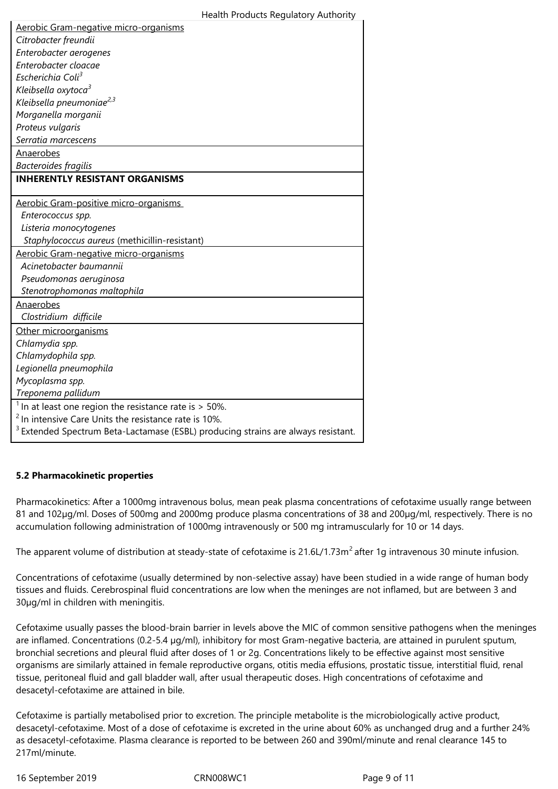| Aerobic Gram-negative micro-organisms                                                        |
|----------------------------------------------------------------------------------------------|
| Citrobacter freundii                                                                         |
| Enterobacter aerogenes                                                                       |
| Enterobacter cloacae                                                                         |
| Escherichia Coli <sup>3</sup>                                                                |
| Kleibsella oxytoca <sup>3</sup>                                                              |
| Kleibsella pneumoniae <sup>2,3</sup>                                                         |
| Morganella morganii                                                                          |
| Proteus vulgaris                                                                             |
| Serratia marcescens                                                                          |
| Anaerobes                                                                                    |
| <b>Bacteroides fragilis</b>                                                                  |
| <b>INHERENTLY RESISTANT ORGANISMS</b>                                                        |
|                                                                                              |
| Aerobic Gram-positive micro-organisms                                                        |
| Enterococcus spp.                                                                            |
| Listeria monocytogenes                                                                       |
| Staphylococcus aureus (methicillin-resistant)                                                |
| Aerobic Gram-negative micro-organisms                                                        |
| Acinetobacter baumannii                                                                      |
| Pseudomonas aeruginosa                                                                       |
| Stenotrophomonas maltophila                                                                  |
| Anaerobes                                                                                    |
| Clostridium difficile                                                                        |
| Other microorganisms                                                                         |
| Chlamydia spp.                                                                               |
| Chlamydophila spp.                                                                           |
| Legionella pneumophila                                                                       |
| Mycoplasma spp.                                                                              |
| Treponema pallidum                                                                           |
| $1$ In at least one region the resistance rate is $>$ 50%.                                   |
| <sup>2</sup> In intensive Care Units the resistance rate is 10%.                             |
| <sup>3</sup> Extended Spectrum Beta-Lactamase (ESBL) producing strains are always resistant. |

# **5.2 Pharmacokinetic properties**

Pharmacokinetics: After a 1000mg intravenous bolus, mean peak plasma concentrations of cefotaxime usually range between 81 and 102µg/ml. Doses of 500mg and 2000mg produce plasma concentrations of 38 and 200µg/ml, respectively. There is no accumulation following administration of 1000mg intravenously or 500 mg intramuscularly for 10 or 14 days.

The apparent volume of distribution at steady-state of cefotaxime is 21.6L/1.73m<sup>2</sup> after 1g intravenous 30 minute infusion.

Concentrations of cefotaxime (usually determined by non-selective assay) have been studied in a wide range of human body tissues and fluids. Cerebrospinal fluid concentrations are low when the meninges are not inflamed, but are between 3 and 30µg/ml in children with meningitis.

Cefotaxime usually passes the blood-brain barrier in levels above the MIC of common sensitive pathogens when the meninges are inflamed. Concentrations (0.2-5.4 µg/ml), inhibitory for most Gram-negative bacteria, are attained in purulent sputum, bronchial secretions and pleural fluid after doses of 1 or 2g. Concentrations likely to be effective against most sensitive organisms are similarly attained in female reproductive organs, otitis media effusions, prostatic tissue, interstitial fluid, renal tissue, peritoneal fluid and gall bladder wall, after usual therapeutic doses. High concentrations of cefotaxime and desacetyl-cefotaxime are attained in bile.

Cefotaxime is partially metabolised prior to excretion. The principle metabolite is the microbiologically active product, desacetyl-cefotaxime. Most of a dose of cefotaxime is excreted in the urine about 60% as unchanged drug and a further 24% as desacetyl-cefotaxime. Plasma clearance is reported to be between 260 and 390ml/minute and renal clearance 145 to 217ml/minute.

16 September 2019 CRN008WC1 Page 9 of 11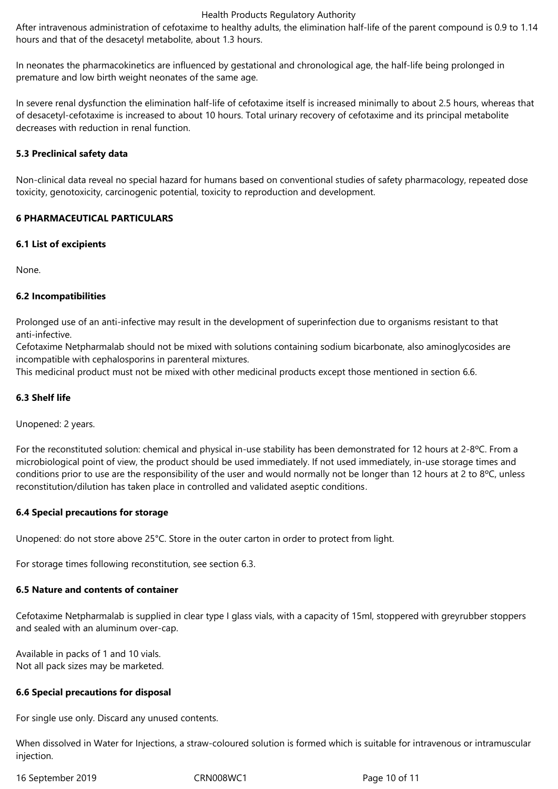After intravenous administration of cefotaxime to healthy adults, the elimination half-life of the parent compound is 0.9 to 1.14 hours and that of the desacetyl metabolite, about 1.3 hours.

In neonates the pharmacokinetics are influenced by gestational and chronological age, the half-life being prolonged in premature and low birth weight neonates of the same age.

In severe renal dysfunction the elimination half-life of cefotaxime itself is increased minimally to about 2.5 hours, whereas that of desacetyl-cefotaxime is increased to about 10 hours. Total urinary recovery of cefotaxime and its principal metabolite decreases with reduction in renal function.

## **5.3 Preclinical safety data**

Non-clinical data reveal no special hazard for humans based on conventional studies of safety pharmacology, repeated dose toxicity, genotoxicity, carcinogenic potential, toxicity to reproduction and development.

## **6 PHARMACEUTICAL PARTICULARS**

#### **6.1 List of excipients**

None.

# **6.2 Incompatibilities**

Prolonged use of an anti-infective may result in the development of superinfection due to organisms resistant to that anti-infective.

Cefotaxime Netpharmalab should not be mixed with solutions containing sodium bicarbonate, also aminoglycosides are incompatible with cephalosporins in parenteral mixtures.

This medicinal product must not be mixed with other medicinal products except those mentioned in section 6.6.

## **6.3 Shelf life**

Unopened: 2 years.

For the reconstituted solution: chemical and physical in-use stability has been demonstrated for 12 hours at 2-8ºC. From a microbiological point of view, the product should be used immediately. If not used immediately, in-use storage times and conditions prior to use are the responsibility of the user and would normally not be longer than 12 hours at 2 to 8°C, unless reconstitution/dilution has taken place in controlled and validated aseptic conditions.

#### **6.4 Special precautions for storage**

Unopened: do not store above 25°C. Store in the outer carton in order to protect from light.

For storage times following reconstitution, see section 6.3.

## **6.5 Nature and contents of container**

Cefotaxime Netpharmalab is supplied in clear type I glass vials, with a capacity of 15ml, stoppered with greyrubber stoppers and sealed with an aluminum over-cap.

Available in packs of 1 and 10 vials. Not all pack sizes may be marketed.

#### **6.6 Special precautions for disposal**

For single use only. Discard any unused contents.

When dissolved in Water for Injections, a straw-coloured solution is formed which is suitable for intravenous or intramuscular injection.

16 September 2019 CRN008WC1 Page 10 of 11